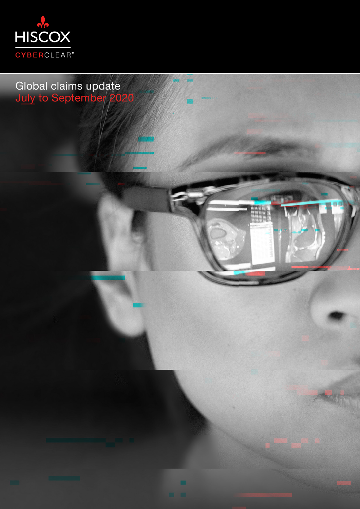



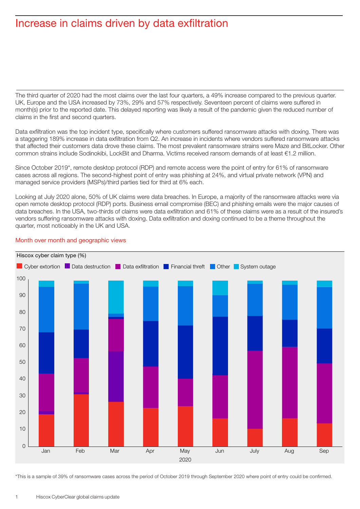### Increase in claims driven by data exfiltration

The third quarter of 2020 had the most claims over the last four quarters, a 49% increase compared to the previous quarter. UK, Europe and the USA increased by 73%, 29% and 57% respectively. Seventeen percent of claims were suffered in month(s) prior to the reported date. This delayed reporting was likely a result of the pandemic given the reduced number of claims in the first and second quarters.

Data exfiltration was the top incident type, specifically where customers suffered ransomware attacks with doxing. There was a staggering 189% increase in data exfiltration from Q2. An increase in incidents where vendors suffered ransomware attacks that affected their customers data drove these claims. The most prevalent ransomware strains were Maze and BitLocker. Other common strains include Sodinokibi, LockBit and Dharma. Victims received ransom demands of at least €1.2 million.

Since October 2019\*, remote desktop protocol (RDP) and remote access were the point of entry for 61% of ransomware cases across all regions. The second-highest point of entry was phishing at 24%, and virtual private network (VPN) and managed service providers (MSPs)/third parties tied for third at 6% each.

Looking at July 2020 alone, 50% of UK claims were data breaches. In Europe, a majority of the ransomware attacks were via open remote desktop protocol (RDP) ports. Business email compromise (BEC) and phishing emails were the major causes of data breaches. In the USA, two-thirds of claims were data exfiltration and 61% of these claims were as a result of the insured's vendors suffering ransomware attacks with doxing. Data exfiltration and doxing continued to be a theme throughout the quarter, most noticeably in the UK and USA.



#### Month over month and geographic views

\*This is a sample of 39% of ransomware cases across the period of October 2019 through September 2020 where point of entry could be confirmed.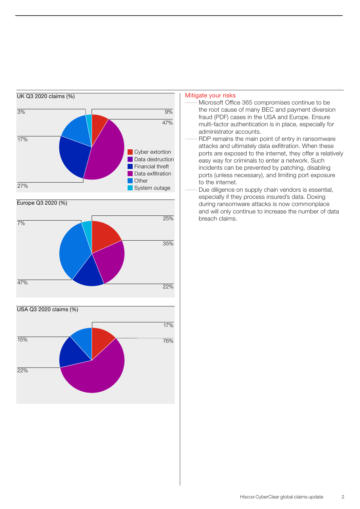

Europe Q3 2020 (%)





#### Mitigate your risks

- Microsoft Office 365 compromises continue to be the root cause of many BEC and payment diversion fraud (PDF) cases in the USA and Europe. Ensure multi-factor authentication is in place, especially for administrator accounts.
- RDP remains the main point of entry in ransomware attacks and ultimately data exfiltration. When these ports are exposed to the internet, they offer a relatively easy way for criminals to enter a network. Such incidents can be prevented by patching, disabling ports (unless necessary), and limiting port exposure to the internet.
- Due diligence on supply chain vendors is essential, especially if they process insured's data. Doxing during ransomware attacks is now commonplace and will only continue to increase the number of data breach claims.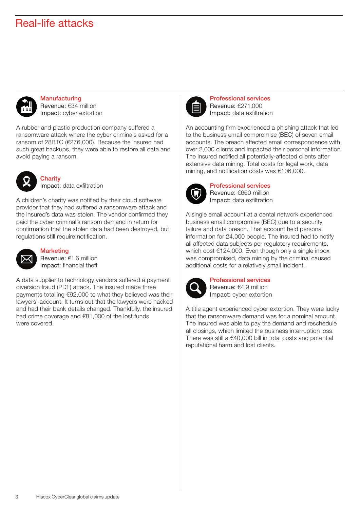## Real-life attacks



**Manufacturing** Revenue: €34 million Impact: cyber extortion

A rubber and plastic production company suffered a ransomware attack where the cyber criminals asked for a ransom of 28BTC (€276,000). Because the insured had such great backups, they were able to restore all data and avoid paying a ransom.



**Charity** Impact: data exfiltration

A children's charity was notified by their cloud software provider that they had suffered a ransomware attack and the insured's data was stolen. The vendor confirmed they paid the cyber criminal's ransom demand in return for confirmation that the stolen data had been destroyed, but regulations still require notification.



### **Marketing**

Revenue: €1.6 million Impact: financial theft

A data supplier to technology vendors suffered a payment diversion fraud (PDF) attack. The insured made three payments totalling €92,000 to what they believed was their lawyers' account. It turns out that the lawyers were hacked and had their bank details changed. Thankfully, the insured had crime coverage and €81,000 of the lost funds were covered.



Professional services Revenue: €271,000 Impact: data exfiltration

An accounting firm experienced a phishing attack that led to the business email compromise (BEC) of seven email accounts. The breach affected email correspondence with over 2,000 clients and impacted their personal information. The insured notified all potentially-affected clients after extensive data mining. Total costs for legal work, data mining, and notification costs was €106,000.



Professional services Revenue: €660 million Impact: data exfiltration

A single email account at a dental network experienced business email compromise (BEC) due to a security failure and data breach. That account held personal information for 24,000 people. The insured had to notify all affected data subjects per regulatory requirements, which cost €124,000. Even though only a single inbox was compromised, data mining by the criminal caused additional costs for a relatively small incident.



Professional services Revenue: €4.9 million Impact: cyber extortion

A title agent experienced cyber extortion. They were lucky that the ransomware demand was for a nominal amount. The insured was able to pay the demand and reschedule all closings, which limited the business interruption loss. There was still a €40,000 bill in total costs and potential reputational harm and lost clients.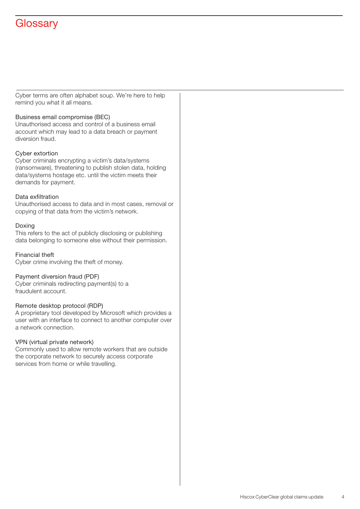# **Glossary**

Cyber terms are often alphabet soup. We're here to help remind you what it all means.

#### Business email compromise (BEC)

Unauthorised access and control of a business email account which may lead to a data breach or payment diversion fraud.

#### Cyber extortion

Cyber criminals encrypting a victim's data/systems (ransomware), threatening to publish stolen data, holding data/systems hostage etc. until the victim meets their demands for payment.

#### Data exfiltration

Unauthorised access to data and in most cases, removal or copying of that data from the victim's network.

#### Doxing

This refers to the act of publicly disclosing or publishing data belonging to someone else without their permission.

Financial theft Cyber crime involving the theft of money.

#### Payment diversion fraud (PDF)

Cyber criminals redirecting payment(s) to a fraudulent account.

#### Remote desktop protocol (RDP)

A proprietary tool developed by Microsoft which provides a user with an interface to connect to another computer over a network connection.

#### VPN (virtual private network)

Commonly used to allow remote workers that are outside the corporate network to securely access corporate services from home or while travelling.